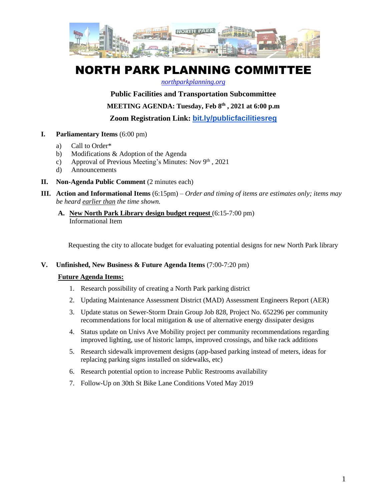

# NORTH PARK PLANNING COMMITTEE

#### *[northparkplanning.org](http://www.northparkplanning.org/)*

## **Public Facilities and Transportation Subcommittee**

**MEETING AGENDA: Tuesday, Feb 8 th , 2021 at 6:00 p.m**

**Zoom Registration Link: [bit.ly/publicfacilitiesreg](http://bit.ly/publicfacilitiesreg)**

- **I. Parliamentary Items** (6:00 pm)
	- a) Call to Order\*
	- b) Modifications & Adoption of the Agenda
	- c) Approval of Previous Meeting's Minutes: Nov  $9<sup>th</sup>$ , 2021
	- d) Announcements
- **II. Non-Agenda Public Comment** (2 minutes each)
- **III. Action and Informational Items** (6:15pm) *Order and timing of items are estimates only; items may be heard earlier than the time shown.*
	- **A. New North Park Library design budget request** (6:15-7:00 pm) Informational Item

Requesting the city to allocate budget for evaluating potential designs for new North Park library

**V. Unfinished, New Business & Future Agenda Items** (7:00-7:20 pm)

#### **Future Agenda Items:**

- 1. Research possibility of creating a North Park parking district
- 2. Updating Maintenance Assessment District (MAD) Assessment Engineers Report (AER)
- 3. Update status on Sewer-Storm Drain Group Job 828, Project No. 652296 per community recommendations for local mitigation & use of alternative energy dissipater designs
- 4. Status update on Univs Ave Mobility project per community recommendations regarding improved lighting, use of historic lamps, improved crossings, and bike rack additions
- 5. Research sidewalk improvement designs (app-based parking instead of meters, ideas for replacing parking signs installed on sidewalks, etc)
- 6. Research potential option to increase Public Restrooms availability
- 7. Follow-Up on 30th St Bike Lane Conditions Voted May 2019